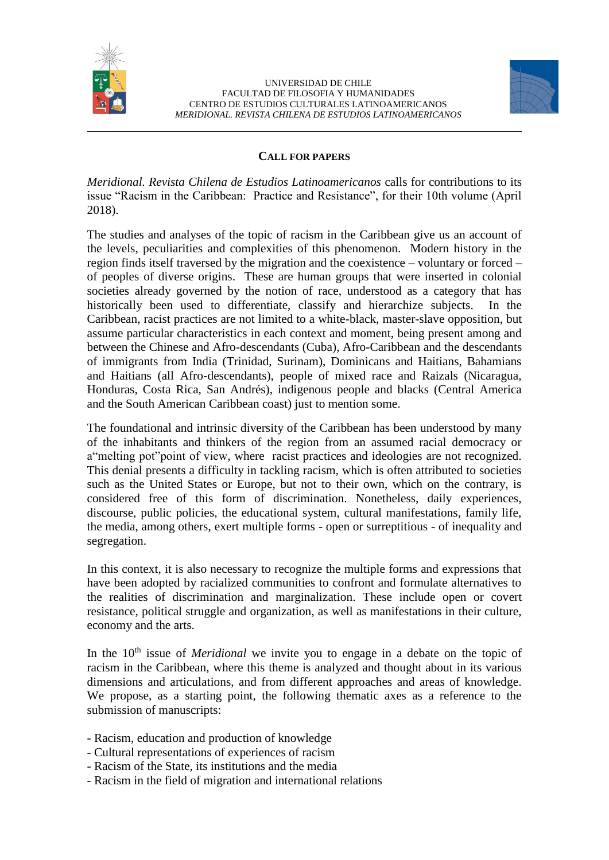



### **CALL FOR PAPERS**

*Meridional. Revista Chilena de Estudios Latinoamericanos* calls for contributions to its issue "Racism in the Caribbean: Practice and Resistance", for their 10th volume (April 2018).

The studies and analyses of the topic of racism in the Caribbean give us an account of the levels, peculiarities and complexities of this phenomenon. Modern history in the region finds itself traversed by the migration and the coexistence – voluntary or forced – of peoples of diverse origins. These are human groups that were inserted in colonial societies already governed by the notion of race, understood as a category that has historically been used to differentiate, classify and hierarchize subjects. In the Caribbean, racist practices are not limited to a white-black, master-slave opposition, but assume particular characteristics in each context and moment, being present among and between the Chinese and Afro-descendants (Cuba), Afro-Caribbean and the descendants of immigrants from India (Trinidad, Surinam), Dominicans and Haitians, Bahamians and Haitians (all Afro-descendants), people of mixed race and Raizals (Nicaragua, Honduras, Costa Rica, San Andrés), indigenous people and blacks (Central America and the South American Caribbean coast) just to mention some.

The foundational and intrinsic diversity of the Caribbean has been understood by many of the inhabitants and thinkers of the region from an assumed racial democracy or a"melting pot"point of view, where racist practices and ideologies are not recognized. This denial presents a difficulty in tackling racism, which is often attributed to societies such as the United States or Europe, but not to their own, which on the contrary, is considered free of this form of discrimination. Nonetheless, daily experiences, discourse, public policies, the educational system, cultural manifestations, family life, the media, among others, exert multiple forms - open or surreptitious - of inequality and segregation.

In this context, it is also necessary to recognize the multiple forms and expressions that have been adopted by racialized communities to confront and formulate alternatives to the realities of discrimination and marginalization. These include open or covert resistance, political struggle and organization, as well as manifestations in their culture, economy and the arts.

In the 10<sup>th</sup> issue of *Meridional* we invite you to engage in a debate on the topic of racism in the Caribbean, where this theme is analyzed and thought about in its various dimensions and articulations, and from different approaches and areas of knowledge. We propose, as a starting point, the following thematic axes as a reference to the submission of manuscripts:

- Racism, education and production of knowledge
- Cultural representations of experiences of racism
- Racism of the State, its institutions and the media
- Racism in the field of migration and international relations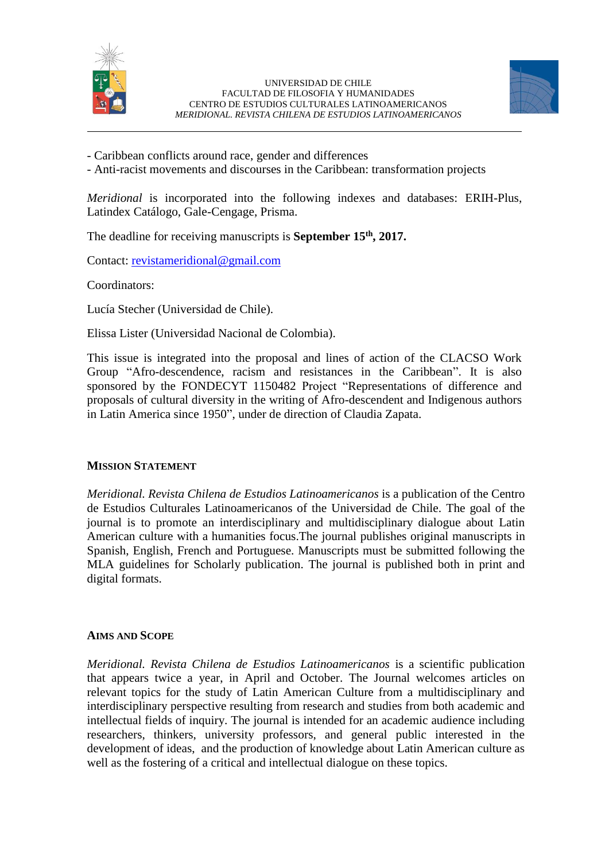



- Caribbean conflicts around race, gender and differences

- Anti-racist movements and discourses in the Caribbean: transformation projects

*Meridional* is incorporated into the following indexes and databases: ERIH-Plus, Latindex Catálogo, Gale-Cengage, Prisma.

The deadline for receiving manuscripts is **September 15th, 2017.**

Contact: [revistameridional@gmail.com](mailto:revistameridional@gmail.com)

Coordinators:

Lucía Stecher (Universidad de Chile).

Elissa Lister (Universidad Nacional de Colombia).

This issue is integrated into the proposal and lines of action of the CLACSO Work Group "Afro-descendence, racism and resistances in the Caribbean". It is also sponsored by the FONDECYT 1150482 Project "Representations of difference and proposals of cultural diversity in the writing of Afro-descendent and Indigenous authors in Latin America since 1950", under de direction of Claudia Zapata.

### **MISSION STATEMENT**

*Meridional. Revista Chilena de Estudios Latinoamericanos* is a publication of the Centro de Estudios Culturales Latinoamericanos of the Universidad de Chile. The goal of the journal is to promote an interdisciplinary and multidisciplinary dialogue about Latin American culture with a humanities focus.The journal publishes original manuscripts in Spanish, English, French and Portuguese. Manuscripts must be submitted following the MLA guidelines for Scholarly publication. The journal is published both in print and digital formats.

### **AIMS AND SCOPE**

*Meridional. Revista Chilena de Estudios Latinoamericanos* is a scientific publication that appears twice a year, in April and October. The Journal welcomes articles on relevant topics for the study of Latin American Culture from a multidisciplinary and interdisciplinary perspective resulting from research and studies from both academic and intellectual fields of inquiry. The journal is intended for an academic audience including researchers, thinkers, university professors, and general public interested in the development of ideas, and the production of knowledge about Latin American culture as well as the fostering of a critical and intellectual dialogue on these topics.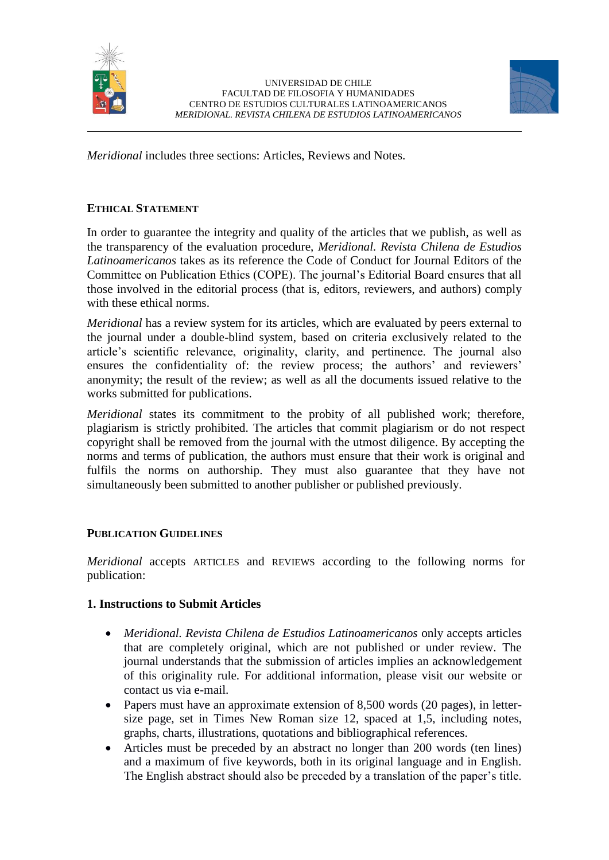



*Meridional* includes three sections: Articles, Reviews and Notes.

# **ETHICAL STATEMENT**

In order to guarantee the integrity and quality of the articles that we publish, as well as the transparency of the evaluation procedure, *Meridional. Revista Chilena de Estudios Latinoamericanos* takes as its reference the Code of Conduct for Journal Editors of the Committee on Publication Ethics (COPE). The journal's Editorial Board ensures that all those involved in the editorial process (that is, editors, reviewers, and authors) comply with these ethical norms.

*Meridional* has a review system for its articles, which are evaluated by peers external to the journal under a double-blind system, based on criteria exclusively related to the article's scientific relevance, originality, clarity, and pertinence. The journal also ensures the confidentiality of: the review process; the authors' and reviewers' anonymity; the result of the review; as well as all the documents issued relative to the works submitted for publications.

*Meridional* states its commitment to the probity of all published work; therefore, plagiarism is strictly prohibited. The articles that commit plagiarism or do not respect copyright shall be removed from the journal with the utmost diligence. By accepting the norms and terms of publication, the authors must ensure that their work is original and fulfils the norms on authorship. They must also guarantee that they have not simultaneously been submitted to another publisher or published previously.

### **PUBLICATION GUIDELINES**

*Meridional* accepts ARTICLES and REVIEWS according to the following norms for publication:

### **1. Instructions to Submit Articles**

- *Meridional. Revista Chilena de Estudios Latinoamericanos* only accepts articles that are completely original, which are not published or under review. The journal understands that the submission of articles implies an acknowledgement of this originality rule. For additional information, please visit our website or contact us via e-mail.
- Papers must have an approximate extension of 8,500 words (20 pages), in lettersize page, set in Times New Roman size 12, spaced at 1,5, including notes, graphs, charts, illustrations, quotations and bibliographical references.
- Articles must be preceded by an abstract no longer than 200 words (ten lines) and a maximum of five keywords, both in its original language and in English. The English abstract should also be preceded by a translation of the paper's title.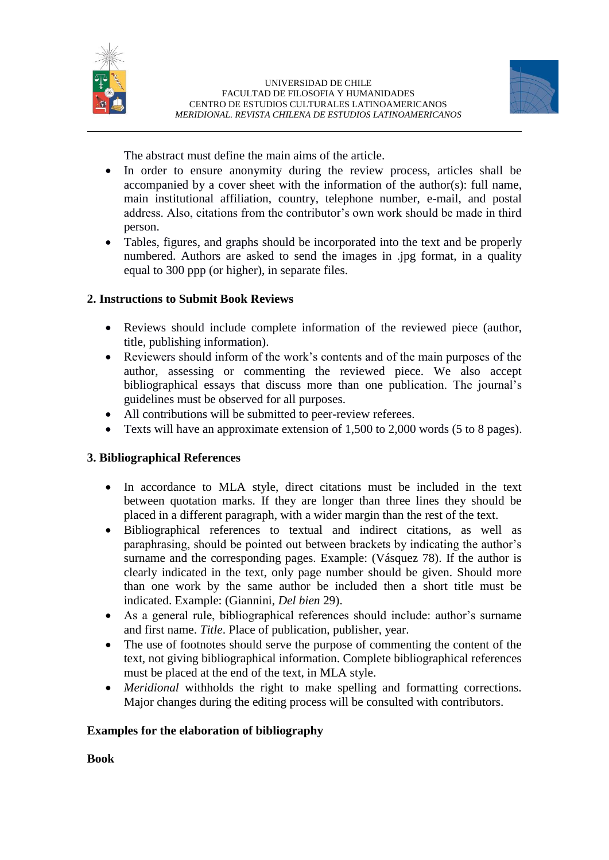



The abstract must define the main aims of the article.

- In order to ensure anonymity during the review process, articles shall be accompanied by a cover sheet with the information of the author(s): full name, main institutional affiliation, country, telephone number, e-mail, and postal address. Also, citations from the contributor's own work should be made in third person.
- Tables, figures, and graphs should be incorporated into the text and be properly numbered. Authors are asked to send the images in .jpg format, in a quality equal to 300 ppp (or higher), in separate files.

# **2. Instructions to Submit Book Reviews**

- Reviews should include complete information of the reviewed piece (author, title, publishing information).
- Reviewers should inform of the work's contents and of the main purposes of the author, assessing or commenting the reviewed piece. We also accept bibliographical essays that discuss more than one publication. The journal's guidelines must be observed for all purposes.
- All contributions will be submitted to peer-review referees.
- Texts will have an approximate extension of 1,500 to 2,000 words (5 to 8 pages).

# **3. Bibliographical References**

- In accordance to MLA style, direct citations must be included in the text between quotation marks. If they are longer than three lines they should be placed in a different paragraph, with a wider margin than the rest of the text.
- Bibliographical references to textual and indirect citations, as well as paraphrasing, should be pointed out between brackets by indicating the author's surname and the corresponding pages. Example: (Vásquez 78). If the author is clearly indicated in the text, only page number should be given. Should more than one work by the same author be included then a short title must be indicated. Example: (Giannini, *Del bien* 29).
- As a general rule, bibliographical references should include: author's surname and first name. *Title*. Place of publication, publisher, year.
- The use of footnotes should serve the purpose of commenting the content of the text, not giving bibliographical information. Complete bibliographical references must be placed at the end of the text, in MLA style.
- *Meridional* withholds the right to make spelling and formatting corrections. Major changes during the editing process will be consulted with contributors.

# **Examples for the elaboration of bibliography**

**Book**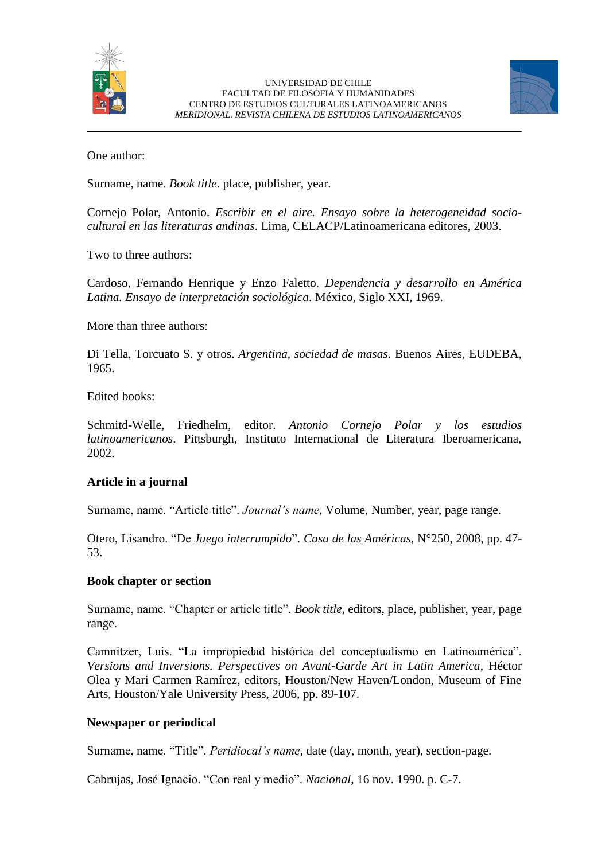



One author:

Surname, name. *Book title*. place, publisher, year.

Cornejo Polar, Antonio. *Escribir en el aire. Ensayo sobre la heterogeneidad sociocultural en las literaturas andinas*. Lima, CELACP/Latinoamericana editores, 2003.

Two to three authors:

Cardoso, Fernando Henrique y Enzo Faletto. *Dependencia y desarrollo en América Latina. Ensayo de interpretación sociológica*. México, Siglo XXI, 1969.

More than three authors:

Di Tella, Torcuato S. y otros. *Argentina, sociedad de masas*. Buenos Aires, EUDEBA, 1965.

### Edited books:

Schmitd-Welle, Friedhelm, editor. *Antonio Cornejo Polar y los estudios latinoamericanos*. Pittsburgh, Instituto Internacional de Literatura Iberoamericana, 2002.

# **Article in a journal**

Surname, name. "Article title". *Journal's name*, Volume, Number, year, page range.

Otero, Lisandro. "De *Juego interrumpido*". *Casa de las Américas*, N°250, 2008, pp. 47- 53.

### **Book chapter or section**

Surname, name. "Chapter or article title". *Book title*, editors, place, publisher, year, page range.

Camnitzer, Luis. "La impropiedad histórica del conceptualismo en Latinoamérica". *Versions and Inversions. Perspectives on Avant-Garde Art in Latin America*, Héctor Olea y Mari Carmen Ramírez, editors, Houston/New Haven/London, Museum of Fine Arts, Houston/Yale University Press, 2006, pp. 89-107.

# **Newspaper or periodical**

Surname, name. "Title". *Peridiocal's name*, date (day, month, year), section-page.

Cabrujas, José Ignacio. "Con real y medio". *Nacional*, 16 nov. 1990. p. C-7.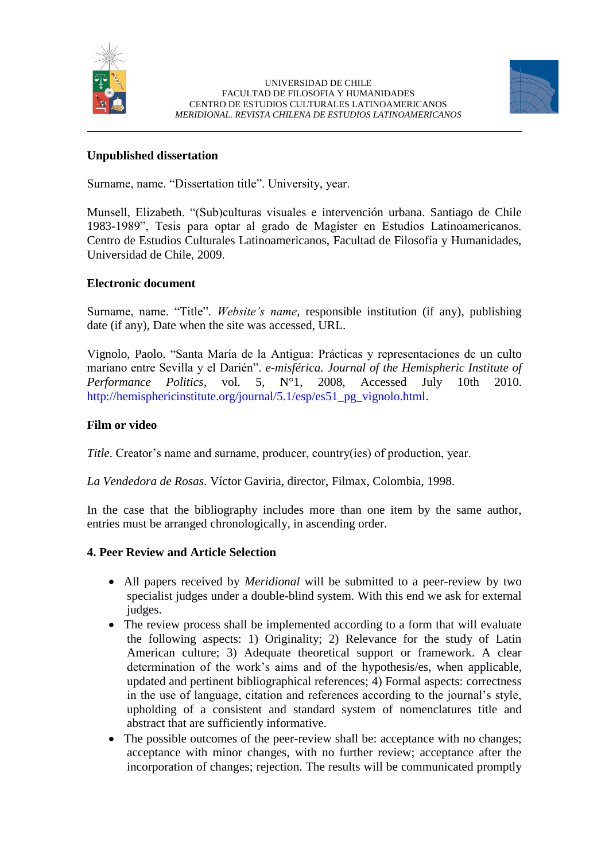



### **Unpublished dissertation**

Surname, name. "Dissertation title". University, year.

Munsell, Elizabeth. "(Sub)culturas visuales e intervención urbana. Santiago de Chile 1983-1989", Tesis para optar al grado de Magíster en Estudios Latinoamericanos. Centro de Estudios Culturales Latinoamericanos, Facultad de Filosofía y Humanidades, Universidad de Chile, 2009.

### **Electronic document**

Surname, name. "Title". *Website's name*, responsible institution (if any), publishing date (if any), Date when the site was accessed, URL.

Vignolo, Paolo. "Santa María de la Antigua: Prácticas y representaciones de un culto mariano entre Sevilla y el Darién". *e-misférica. Journal of the Hemispheric Institute of Performance Politics*, vol. 5, N°1, 2008, Accessed July 10th 2010. http://hemisphericinstitute.org/journal/5.1/esp/es51\_pg\_vignolo.html.

### **Film or video**

*Title*. Creator's name and surname, producer, country(ies) of production, year.

*La Vendedora de Rosas*. Víctor Gaviria, director, Filmax, Colombia, 1998.

In the case that the bibliography includes more than one item by the same author, entries must be arranged chronologically, in ascending order.

### **4. Peer Review and Article Selection**

- All papers received by *Meridional* will be submitted to a peer-review by two specialist judges under a double-blind system. With this end we ask for external judges.
- The review process shall be implemented according to a form that will evaluate the following aspects: 1) Originality; 2) Relevance for the study of Latin American culture; 3) Adequate theoretical support or framework. A clear determination of the work's aims and of the hypothesis/es, when applicable, updated and pertinent bibliographical references; 4) Formal aspects: correctness in the use of language, citation and references according to the journal's style, upholding of a consistent and standard system of nomenclatures title and abstract that are sufficiently informative.
- The possible outcomes of the peer-review shall be: acceptance with no changes; acceptance with minor changes, with no further review; acceptance after the incorporation of changes; rejection. The results will be communicated promptly